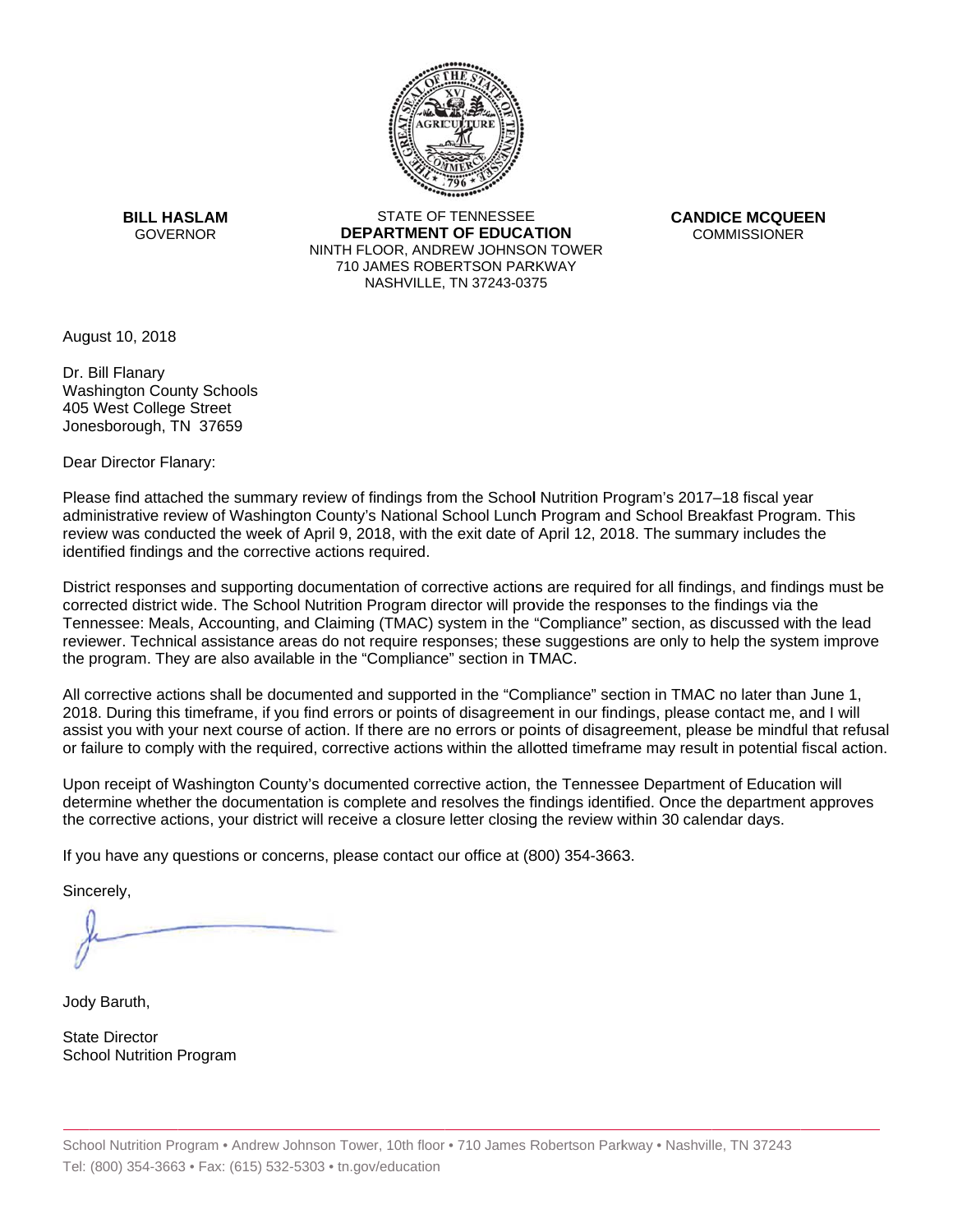

**BILL HASLAM** GOVERNOR **DEI** 

STATE OF TENNESSEE **EPARTMENT OF EDUCATION** NINTH FLOOR, ANDREW JOHNSON TOWER 710 JAMES ROBERTSON PARKWAY NASHVILLE,TN 37243-0375

**CANDICE MCQUEEN** CO OMMISSIONER

August 10, 2018

Dr. Bill Flanary Washington County Schools 405 West College Street Jonesborough, TN 37659

Dear Director Flanary:

Please find attached the summary review of findings from the School Nutrition Program's 2017–18 fiscal year administrative review of Washington County's National School Lunch Program and School Breakfast Program. This review was conducted the week of April 9, 2018, with the exit date of April 12, 2018. The summary includes the identified findings and the corrective actions required.

Tennessee: Meals, Accounting, and Claiming (TMAC) system in the "Compliance" section, as discussed with the lead District responses and supporting documentation of corrective actions are required for all findings, and findings must be corrected district wide. The School Nutrition Program director will provide the responses to the findings via the reviewer. Technical assistance areas do not require responses; these suggestions are only to help the system improve the program. They are also available in the "Compliance" section in TMAC.

All corrective actions shall be documented and supported in the "Compliance" section in TMAC no later than June 1, 2018. During this timeframe, if you find errors or points of disagreement in our findings, please contact me, and I will assist you with your next course of action. If there are no errors or points of disagreement, please be mindful that refusal or failure to comply with the required, corrective actions within the allotted timeframe may result in potential fiscal action.

Upon receipt of Washington County's documented corrective action, the Tennessee Department of Education will determine whether the documentation is complete and resolves the findings identified. Once the department approves the corrective actions, your district will receive a closure letter closing the review within 30 calendar days.

If you have any questions or concerns, please contact our office at (800) 354-3663.

Sincerely,

Jody Baruth,

State Director School Nutrition Program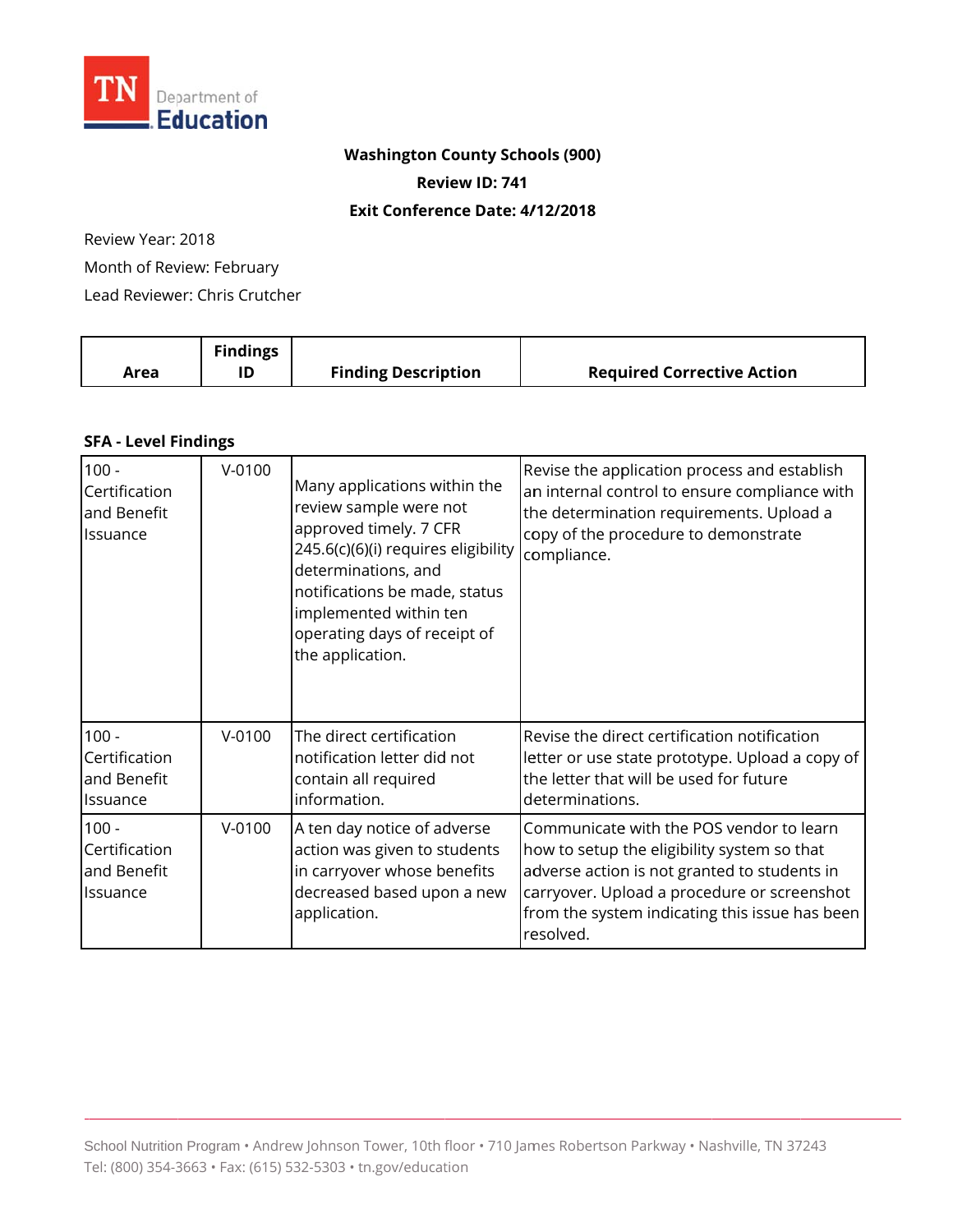

## **Washington County Schools (900)** Review ID: 741 Exit Conference Date: 4/12/2018

# Review Year: 2018

Month of Review: February

Lead Reviewer: Chris Crutcher

|      | <b>Findings</b> |                            |                                   |
|------|-----------------|----------------------------|-----------------------------------|
| Area |                 | <b>Finding Description</b> | <b>Required Corrective Action</b> |

#### **SFA - Level Findings**

| $100 -$<br>Certification<br>and Benefit<br>Issuance | $V-0100$ | Many applications within the<br>review sample were not<br>approved timely. 7 CFR<br>245.6(c)(6)(i) requires eligibility<br>determinations, and<br>notifications be made, status<br>implemented within ten<br>operating days of receipt of<br>the application. | Revise the application process and establish<br>an internal control to ensure compliance with<br>the determination requirements. Upload a<br>copy of the procedure to demonstrate<br>compliance.                                                      |
|-----------------------------------------------------|----------|---------------------------------------------------------------------------------------------------------------------------------------------------------------------------------------------------------------------------------------------------------------|-------------------------------------------------------------------------------------------------------------------------------------------------------------------------------------------------------------------------------------------------------|
| $100 -$<br>Certification<br>and Benefit<br>Issuance | $V-0100$ | The direct certification<br>notification letter did not<br>contain all required<br>information.                                                                                                                                                               | Revise the direct certification notification<br>letter or use state prototype. Upload a copy of<br>the letter that will be used for future<br>determinations.                                                                                         |
| $100 -$<br>Certification<br>and Benefit<br>Issuance | $V-0100$ | A ten day notice of adverse<br>action was given to students<br>in carryover whose benefits<br>decreased based upon a new<br>application.                                                                                                                      | Communicate with the POS vendor to learn<br>how to setup the eligibility system so that<br>adverse action is not granted to students in<br>carryover. Upload a procedure or screenshot<br>from the system indicating this issue has been<br>resolved. |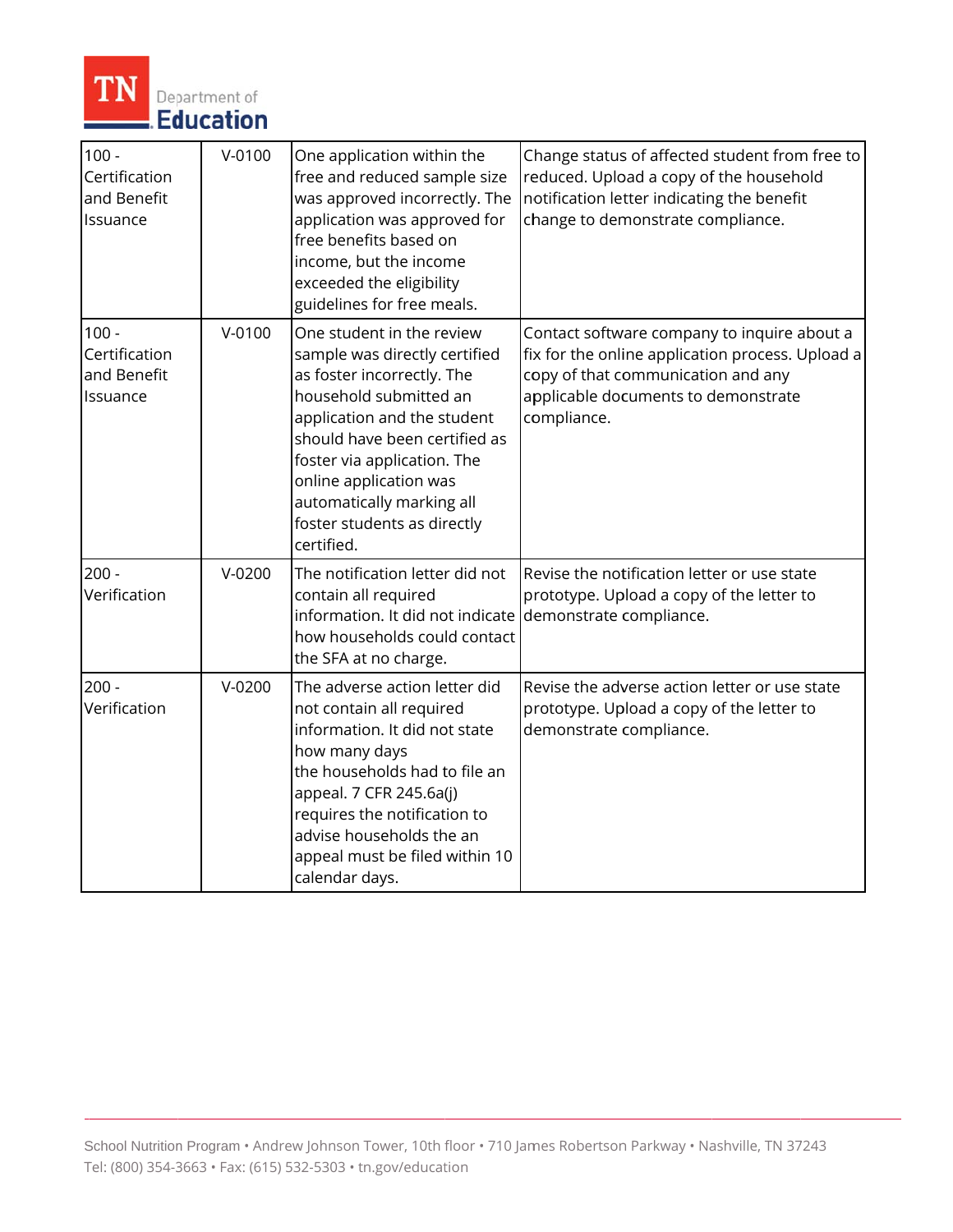

| $100 -$<br>Certification<br>and Benefit<br>Issuance | $V-0100$   | One application within the<br>free and reduced sample size<br>was approved incorrectly. The<br>application was approved for<br>free benefits based on<br>income, but the income<br>exceeded the eligibility<br>guidelines for free meals.                                                                             | Change status of affected student from free to<br>reduced. Upload a copy of the household<br>notification letter indicating the benefit<br>change to demonstrate compliance.                |
|-----------------------------------------------------|------------|-----------------------------------------------------------------------------------------------------------------------------------------------------------------------------------------------------------------------------------------------------------------------------------------------------------------------|---------------------------------------------------------------------------------------------------------------------------------------------------------------------------------------------|
| $100 -$<br>Certification<br>and Benefit<br>Issuance | $V - 0100$ | One student in the review<br>sample was directly certified<br>as foster incorrectly. The<br>household submitted an<br>application and the student<br>should have been certified as<br>foster via application. The<br>online application was<br>automatically marking all<br>foster students as directly<br>certified. | Contact software company to inquire about a<br>fix for the online application process. Upload a<br>copy of that communication and any<br>applicable documents to demonstrate<br>compliance. |
| $200 -$<br>Verification                             | $V-0200$   | The notification letter did not<br>contain all required<br>information. It did not indicate demonstrate compliance.<br>how households could contact<br>the SFA at no charge.                                                                                                                                          | Revise the notification letter or use state<br>prototype. Upload a copy of the letter to                                                                                                    |
| $200 -$<br>Verification                             | $V-0200$   | The adverse action letter did<br>not contain all required<br>information. It did not state<br>how many days<br>the households had to file an<br>appeal. 7 CFR 245.6a(j)<br>requires the notification to<br>advise households the an<br>appeal must be filed within 10<br>calendar days.                               | Revise the adverse action letter or use state<br>prototype. Upload a copy of the letter to<br>demonstrate compliance.                                                                       |